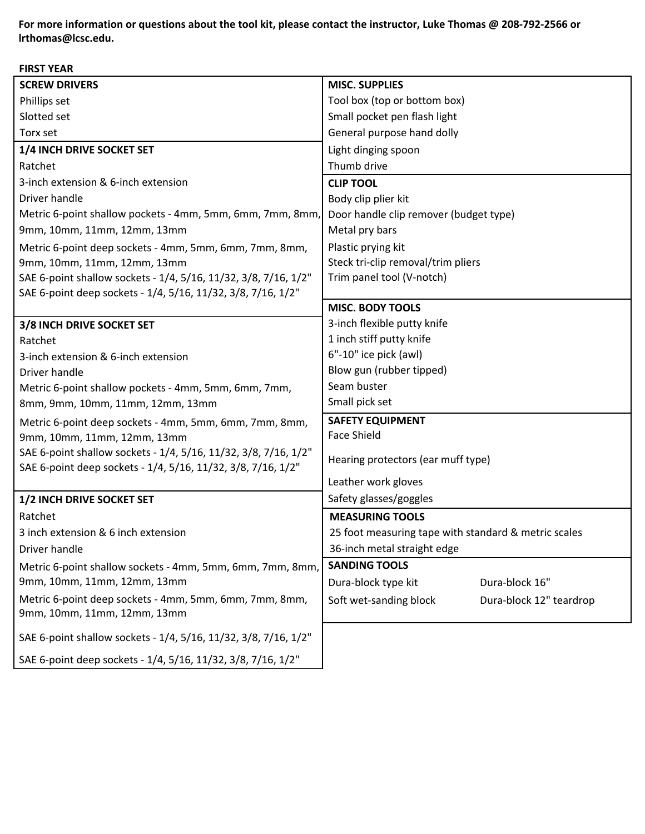**For more information or questions about the tool kit, please contact one of the instructors. 208-792-2468 For more information or questions about the tool kit, please contact the instructor, Luke Thomas @ 208-792-2566 or lrthomas@lcsc.edu.**

**FIRST YEAR**

| ''''''''''                                                                                                                      |                                                      |
|---------------------------------------------------------------------------------------------------------------------------------|------------------------------------------------------|
| <b>SCREW DRIVERS</b>                                                                                                            | <b>MISC. SUPPLIES</b>                                |
| Phillips set                                                                                                                    | Tool box (top or bottom box)                         |
| Slotted set                                                                                                                     | Small pocket pen flash light                         |
| Torx set                                                                                                                        | General purpose hand dolly                           |
| 1/4 INCH DRIVE SOCKET SET                                                                                                       | Light dinging spoon                                  |
| Ratchet                                                                                                                         | Thumb drive                                          |
| 3-inch extension & 6-inch extension                                                                                             | <b>CLIP TOOL</b>                                     |
| Driver handle                                                                                                                   | Body clip plier kit                                  |
| Metric 6-point shallow pockets - 4mm, 5mm, 6mm, 7mm, 8mm,                                                                       | Door handle clip remover (budget type)               |
| 9mm, 10mm, 11mm, 12mm, 13mm                                                                                                     | Metal pry bars                                       |
| Metric 6-point deep sockets - 4mm, 5mm, 6mm, 7mm, 8mm,                                                                          | Plastic prying kit                                   |
| 9mm, 10mm, 11mm, 12mm, 13mm                                                                                                     | Steck tri-clip removal/trim pliers                   |
| SAE 6-point shallow sockets - 1/4, 5/16, 11/32, 3/8, 7/16, 1/2"                                                                 | Trim panel tool (V-notch)                            |
| SAE 6-point deep sockets - 1/4, 5/16, 11/32, 3/8, 7/16, 1/2"                                                                    |                                                      |
|                                                                                                                                 | <b>MISC. BODY TOOLS</b>                              |
| 3/8 INCH DRIVE SOCKET SET                                                                                                       | 3-inch flexible putty knife                          |
| Ratchet                                                                                                                         | 1 inch stiff putty knife                             |
| 3-inch extension & 6-inch extension                                                                                             | 6"-10" ice pick (awl)                                |
| Driver handle                                                                                                                   | Blow gun (rubber tipped)                             |
| Metric 6-point shallow pockets - 4mm, 5mm, 6mm, 7mm,                                                                            | Seam buster                                          |
| 8mm, 9mm, 10mm, 11mm, 12mm, 13mm                                                                                                | Small pick set                                       |
| Metric 6-point deep sockets - 4mm, 5mm, 6mm, 7mm, 8mm,                                                                          | <b>SAFETY EQUIPMENT</b>                              |
| 9mm, 10mm, 11mm, 12mm, 13mm                                                                                                     | <b>Face Shield</b>                                   |
| SAE 6-point shallow sockets - 1/4, 5/16, 11/32, 3/8, 7/16, 1/2"<br>SAE 6-point deep sockets - 1/4, 5/16, 11/32, 3/8, 7/16, 1/2" | Hearing protectors (ear muff type)                   |
|                                                                                                                                 | Leather work gloves                                  |
| 1/2 INCH DRIVE SOCKET SET                                                                                                       | Safety glasses/goggles                               |
| Ratchet                                                                                                                         | <b>MEASURING TOOLS</b>                               |
| 3 inch extension & 6 inch extension                                                                                             | 25 foot measuring tape with standard & metric scales |
| Driver handle                                                                                                                   | 36-inch metal straight edge                          |
| Metric 6-point shallow sockets - 4mm, 5mm, 6mm, 7mm, 8mm,                                                                       | <b>SANDING TOOLS</b>                                 |
| 9mm, 10mm, 11mm, 12mm, 13mm                                                                                                     | Dura-block 16"<br>Dura-block type kit                |
| Metric 6-point deep sockets - 4mm, 5mm, 6mm, 7mm, 8mm,                                                                          | Soft wet-sanding block<br>Dura-block 12" teardrop    |
| 9mm, 10mm, 11mm, 12mm, 13mm                                                                                                     |                                                      |
| SAE 6-point shallow sockets - 1/4, 5/16, 11/32, 3/8, 7/16, 1/2"                                                                 |                                                      |
| SAE 6-point deep sockets - 1/4, 5/16, 11/32, 3/8, 7/16, 1/2"                                                                    |                                                      |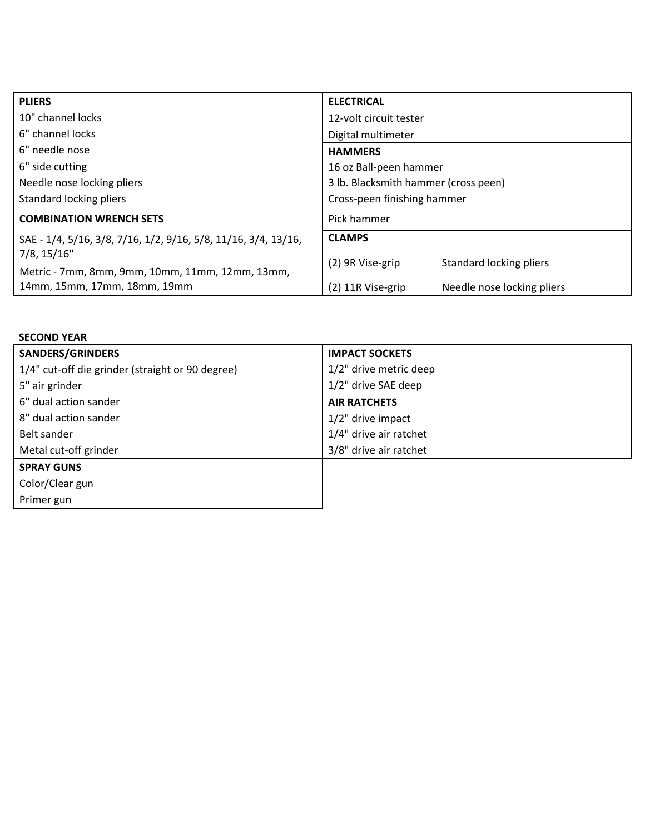| <b>PLIERS</b>                                                  | <b>ELECTRICAL</b>                               |
|----------------------------------------------------------------|-------------------------------------------------|
| 10" channel locks                                              | 12-volt circuit tester                          |
| 6" channel locks                                               | Digital multimeter                              |
| 6" needle nose                                                 | <b>HAMMERS</b>                                  |
| 6" side cutting                                                | 16 oz Ball-peen hammer                          |
| Needle nose locking pliers                                     | 3 lb. Blacksmith hammer (cross peen)            |
| Standard locking pliers                                        | Cross-peen finishing hammer                     |
| <b>COMBINATION WRENCH SETS</b>                                 | Pick hammer                                     |
| SAE - 1/4, 5/16, 3/8, 7/16, 1/2, 9/16, 5/8, 11/16, 3/4, 13/16, | <b>CLAMPS</b>                                   |
| $7/8$ , $15/16"$                                               | Standard locking pliers<br>(2) 9R Vise-grip     |
| Metric - 7mm, 8mm, 9mm, 10mm, 11mm, 12mm, 13mm,                |                                                 |
| 14mm, 15mm, 17mm, 18mm, 19mm                                   | Needle nose locking pliers<br>(2) 11R Vise-grip |

| <b>SECOND YEAR</b>                               |                        |
|--------------------------------------------------|------------------------|
| <b>SANDERS/GRINDERS</b>                          | <b>IMPACT SOCKETS</b>  |
| 1/4" cut-off die grinder (straight or 90 degree) | 1/2" drive metric deep |
| 5" air grinder                                   | 1/2" drive SAE deep    |
| 6" dual action sander                            | <b>AIR RATCHETS</b>    |
| 8" dual action sander                            | $1/2$ " drive impact   |
| Belt sander                                      | 1/4" drive air ratchet |
| Metal cut-off grinder                            | 3/8" drive air ratchet |
| <b>SPRAY GUNS</b>                                |                        |
| Color/Clear gun                                  |                        |
| Primer gun                                       |                        |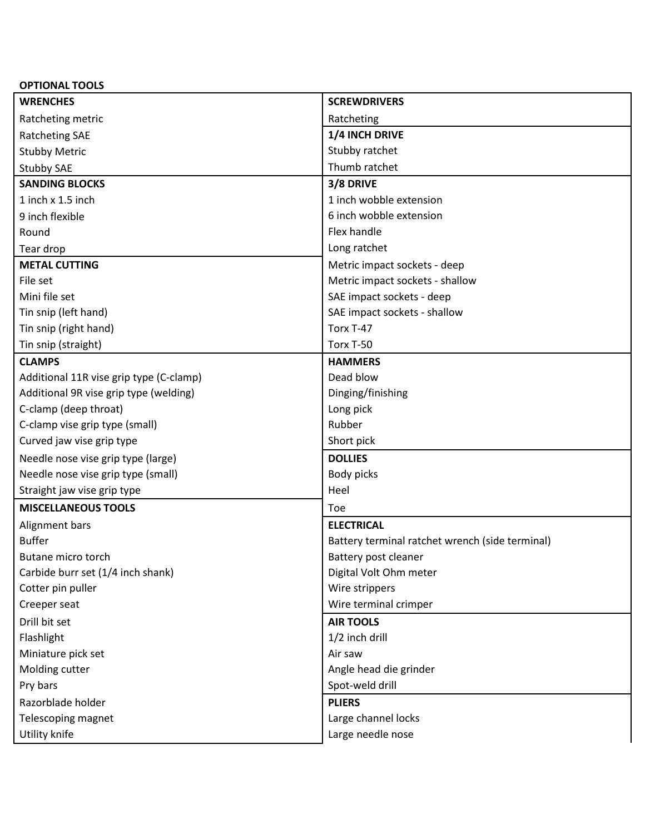| <b>WRENCHES</b><br><b>SCREWDRIVERS</b><br>Ratcheting metric<br>Ratcheting |  |
|---------------------------------------------------------------------------|--|
|                                                                           |  |
|                                                                           |  |
| 1/4 INCH DRIVE<br><b>Ratcheting SAE</b>                                   |  |
| Stubby ratchet<br><b>Stubby Metric</b>                                    |  |
| Thumb ratchet<br><b>Stubby SAE</b>                                        |  |
| <b>SANDING BLOCKS</b><br>3/8 DRIVE                                        |  |
| 1 inch wobble extension<br>1 inch x 1.5 inch                              |  |
| 6 inch wobble extension<br>9 inch flexible                                |  |
| Flex handle<br>Round                                                      |  |
| Long ratchet<br>Tear drop                                                 |  |
| <b>METAL CUTTING</b><br>Metric impact sockets - deep                      |  |
| Metric impact sockets - shallow<br>File set                               |  |
| Mini file set<br>SAE impact sockets - deep                                |  |
| Tin snip (left hand)<br>SAE impact sockets - shallow                      |  |
| Tin snip (right hand)<br>Torx T-47                                        |  |
| Tin snip (straight)<br>Torx T-50                                          |  |
| <b>CLAMPS</b><br><b>HAMMERS</b>                                           |  |
| Dead blow<br>Additional 11R vise grip type (C-clamp)                      |  |
| Additional 9R vise grip type (welding)<br>Dinging/finishing               |  |
| C-clamp (deep throat)<br>Long pick                                        |  |
| Rubber<br>C-clamp vise grip type (small)                                  |  |
| Curved jaw vise grip type<br>Short pick                                   |  |
| <b>DOLLIES</b><br>Needle nose vise grip type (large)                      |  |
| Needle nose vise grip type (small)<br>Body picks                          |  |
| Heel<br>Straight jaw vise grip type                                       |  |
| <b>MISCELLANEOUS TOOLS</b><br>Toe                                         |  |
| <b>ELECTRICAL</b><br>Alignment bars                                       |  |
| <b>Buffer</b><br>Battery terminal ratchet wrench (side terminal)          |  |
| Butane micro torch<br>Battery post cleaner                                |  |
| Carbide burr set (1/4 inch shank)<br>Digital Volt Ohm meter               |  |
| Cotter pin puller<br>Wire strippers                                       |  |
| Wire terminal crimper<br>Creeper seat                                     |  |
| Drill bit set<br><b>AIR TOOLS</b>                                         |  |
| 1/2 inch drill<br>Flashlight                                              |  |
| Miniature pick set<br>Air saw                                             |  |
| Angle head die grinder<br>Molding cutter                                  |  |
| Pry bars<br>Spot-weld drill                                               |  |
| Razorblade holder<br><b>PLIERS</b>                                        |  |
| Telescoping magnet<br>Large channel locks                                 |  |
| Utility knife<br>Large needle nose                                        |  |